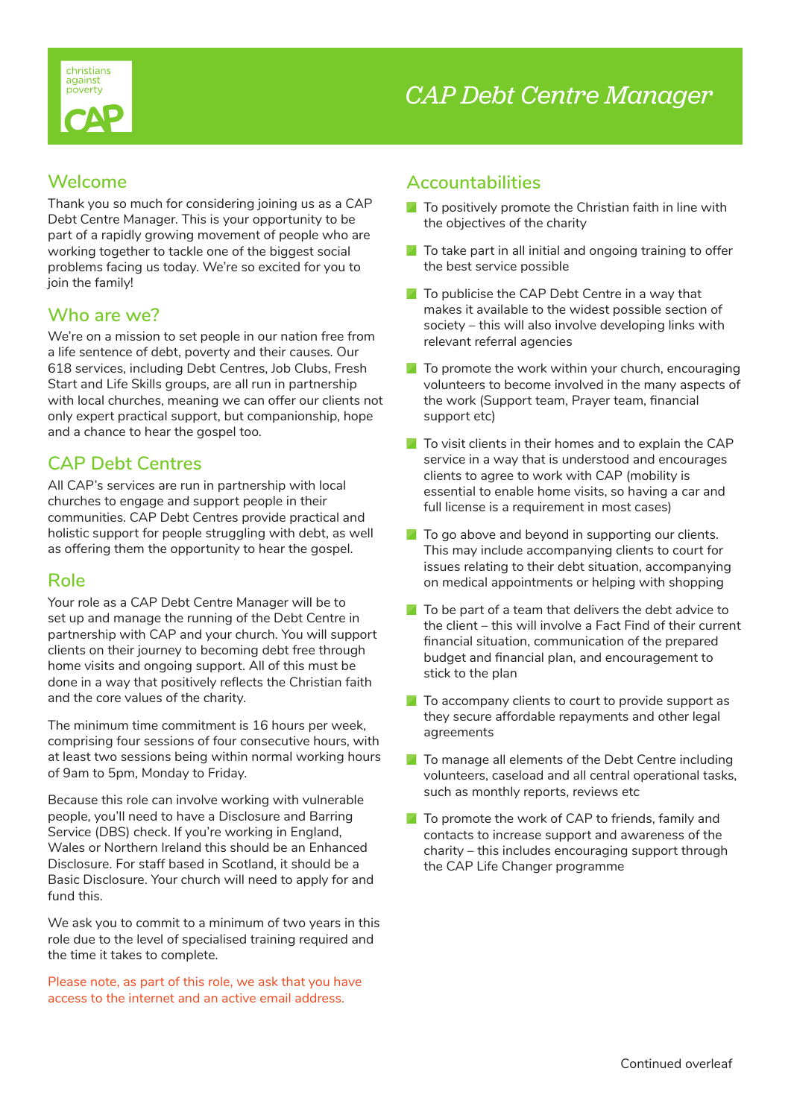

### **Welcome**

Thank you so much for considering joining us as a CAP Debt Centre Manager. This is your opportunity to be part of a rapidly growing movement of people who are working together to tackle one of the biggest social problems facing us today. We're so excited for you to join the family!

## **Who are we?**

We're on a mission to set people in our nation free from a life sentence of debt, poverty and their causes. Our 618 services, including Debt Centres, Job Clubs, Fresh Start and Life Skills groups, are all run in partnership with local churches, meaning we can offer our clients not only expert practical support, but companionship, hope and a chance to hear the gospel too.

## **CAP Debt Centres**

All CAP's services are run in partnership with local churches to engage and support people in their communities. CAP Debt Centres provide practical and holistic support for people struggling with debt, as well as offering them the opportunity to hear the gospel.

## **Role**

Your role as a CAP Debt Centre Manager will be to set up and manage the running of the Debt Centre in partnership with CAP and your church. You will support clients on their journey to becoming debt free through home visits and ongoing support. All of this must be done in a way that positively reflects the Christian faith and the core values of the charity.

The minimum time commitment is 16 hours per week, comprising four sessions of four consecutive hours, with at least two sessions being within normal working hours of 9am to 5pm, Monday to Friday.

Because this role can involve working with vulnerable people, you'll need to have a Disclosure and Barring Service (DBS) check. If you're working in England, Wales or Northern Ireland this should be an Enhanced Disclosure. For staff based in Scotland, it should be a Basic Disclosure. Your church will need to apply for and fund this.

We ask you to commit to a minimum of two years in this role due to the level of specialised training required and the time it takes to complete.

Please note, as part of this role, we ask that you have access to the internet and an active email address.

### **Accountabilities**

- $\blacksquare$  To positively promote the Christian faith in line with the objectives of the charity
- $\blacksquare$  To take part in all initial and ongoing training to offer the best service possible
- $\blacksquare$  To publicise the CAP Debt Centre in a way that makes it available to the widest possible section of society – this will also involve developing links with relevant referral agencies
- $\blacksquare$  To promote the work within your church, encouraging volunteers to become involved in the many aspects of the work (Support team, Prayer team, financial support etc)
- $\blacksquare$  To visit clients in their homes and to explain the CAP service in a way that is understood and encourages clients to agree to work with CAP (mobility is essential to enable home visits, so having a car and full license is a requirement in most cases)
- $\blacksquare$  To go above and beyond in supporting our clients. This may include accompanying clients to court for issues relating to their debt situation, accompanying on medical appointments or helping with shopping
- $\blacksquare$  To be part of a team that delivers the debt advice to the client – this will involve a Fact Find of their current financial situation, communication of the prepared budget and financial plan, and encouragement to stick to the plan
- $\blacksquare$  To accompany clients to court to provide support as they secure affordable repayments and other legal agreements
- $\blacksquare$  To manage all elements of the Debt Centre including volunteers, caseload and all central operational tasks, such as monthly reports, reviews etc
- $\blacksquare$  To promote the work of CAP to friends, family and contacts to increase support and awareness of the charity – this includes encouraging support through the CAP Life Changer programme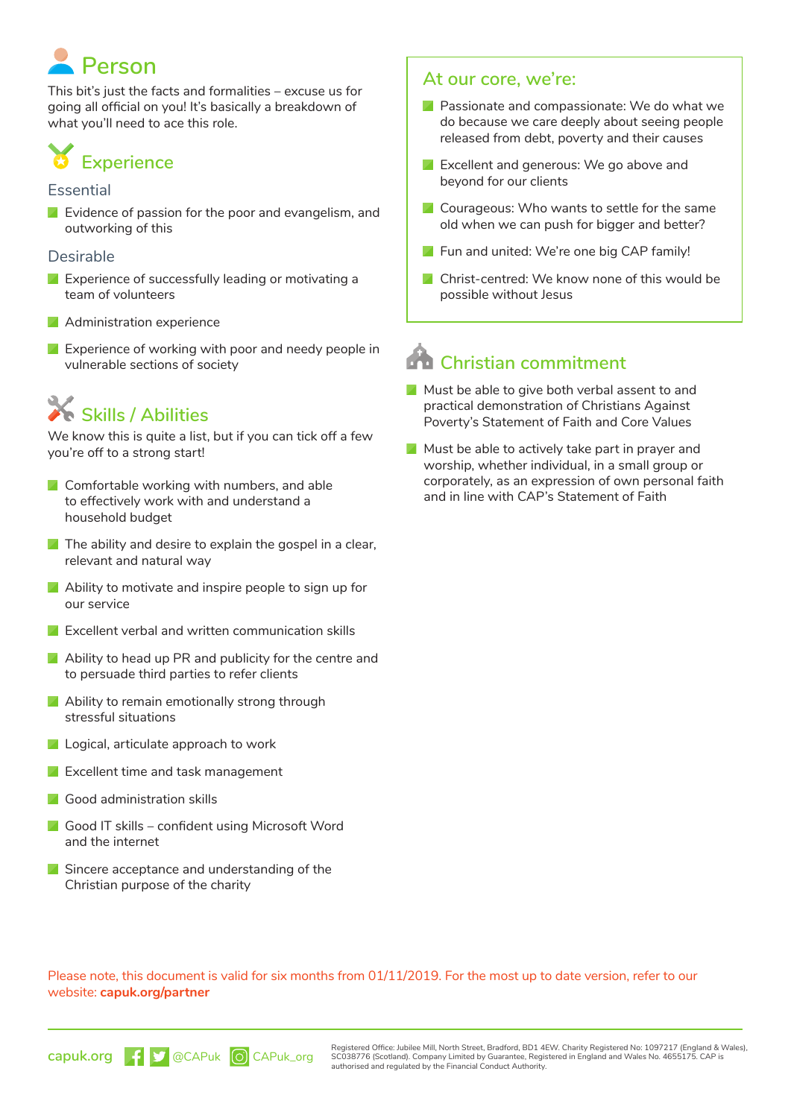# **Person**

This bit's just the facts and formalities – excuse us for going all official on you! It's basically a breakdown of what you'll need to ace this role.

## **Experience**

#### **Essential**

**Exidence of passion for the poor and evangelism, and** outworking of this

#### Desirable

- **Experience of successfully leading or motivating a** team of volunteers
- Administration experience
- **Experience of working with poor and needy people in** vulnerable sections of society

## **Skills / Abilities**

We know this is quite a list, but if you can tick off a few you're off to a strong start!

- **Z** Comfortable working with numbers, and able to effectively work with and understand a household budget
- $\blacksquare$  The ability and desire to explain the gospel in a clear, relevant and natural way
- Ability to motivate and inspire people to sign up for our service
- **EXCELLENT VERBAL AND WRITTEN COMMUNICATION Skills**
- Ability to head up PR and publicity for the centre and to persuade third parties to refer clients
- Ability to remain emotionally strong through stressful situations
- **L** Logical, articulate approach to work
- **Excellent time and task management**
- **Good administration skills**
- **Good IT skills confident using Microsoft Word** and the internet
- Sincere acceptance and understanding of the Christian purpose of the charity

### **At our core, we're:**

- **Passionate and compassionate: We do what we** do because we care deeply about seeing people released from debt, poverty and their causes
- **Excellent and generous: We go above and** beyond for our clients
- **Z** Courageous: Who wants to settle for the same old when we can push for bigger and better?
- **Fun and united: We're one big CAP family!**
- **A** Christ-centred: We know none of this would be possible without Jesus

## **Christian commitment**

- Must be able to give both verbal assent to and practical demonstration of Christians Against Poverty's Statement of Faith and Core Values
- $\blacksquare$  Must be able to actively take part in prayer and worship, whether individual, in a small group or corporately, as an expression of own personal faith and in line with CAP's Statement of Faith

Please note, this document is valid for six months from 01/11/2019. For the most up to date version, refer to our website: **capuk.org/partner**



Registered Office: Jubilee Mill, North Street, Bradford, BD1 4EW. Charity Registered No: 1097217 (England & Wales), SC038776 (Scotland). Company Limited by Guarantee, Registered in England and Wales No. 4655175. CAP is authorised and regulated by the Financial Conduct Authority.